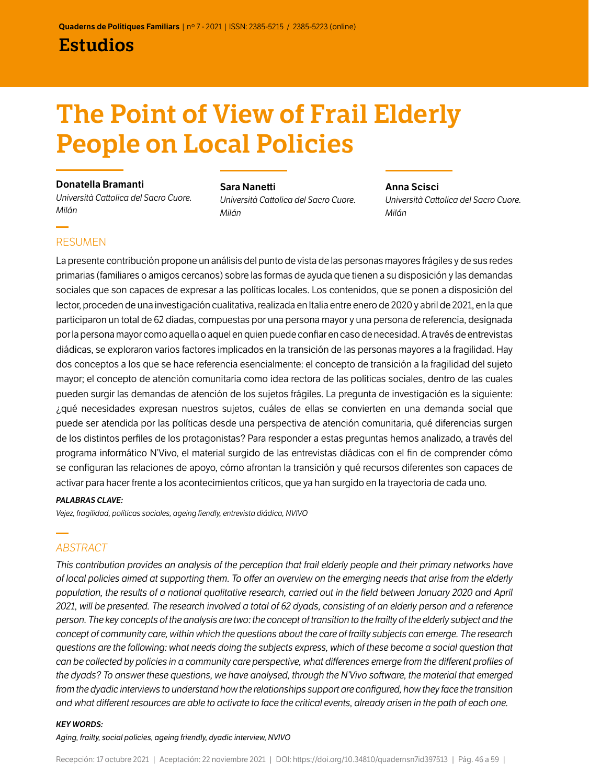### Estudios

# The Point of View of Frail Elderly People on Local Policies

#### Donatella Bramanti

*Università Cattolica del Sacro Cuore. Milán*

#### Sara Nanetti

*Università Cattolica del Sacro Cuore. Milán*

### Anna Scisci *Università Cattolica del Sacro Cuore. Milán*

### RESUMEN

La presente contribución propone un análisis del punto de vista de las personas mayores frágiles y de sus redes primarias (familiares o amigos cercanos) sobre las formas de ayuda que tienen a su disposición y las demandas sociales que son capaces de expresar a las políticas locales. Los contenidos, que se ponen a disposición del lector, proceden de una investigación cualitativa, realizada en Italia entre enero de 2020 y abril de 2021, en la que participaron un total de 62 díadas, compuestas por una persona mayor y una persona de referencia, designada por la persona mayor como aquella o aquel en quien puede confiar en caso de necesidad. A través de entrevistas diádicas, se exploraron varios factores implicados en la transición de las personas mayores a la fragilidad. Hay dos conceptos a los que se hace referencia esencialmente: el concepto de transición a la fragilidad del sujeto mayor; el concepto de atención comunitaria como idea rectora de las políticas sociales, dentro de las cuales pueden surgir las demandas de atención de los sujetos frágiles. La pregunta de investigación es la siguiente: ¿qué necesidades expresan nuestros sujetos, cuáles de ellas se convierten en una demanda social que puede ser atendida por las políticas desde una perspectiva de atención comunitaria, qué diferencias surgen de los distintos perfiles de los protagonistas? Para responder a estas preguntas hemos analizado, a través del programa informático N'Vivo, el material surgido de las entrevistas diádicas con el fin de comprender cómo se configuran las relaciones de apoyo, cómo afrontan la transición y qué recursos diferentes son capaces de activar para hacer frente a los acontecimientos críticos, que ya han surgido en la trayectoria de cada uno.

#### *PALABRAS CLAVE:*

*Vejez, fragilidad, políticas sociales, ageing fiendly, entrevista diádica, NVIVO*

### *ABSTRACT*

*This contribution provides an analysis of the perception that frail elderly people and their primary networks have of local policies aimed at supporting them. To offer an overview on the emerging needs that arise from the elderly population, the results of a national qualitative research, carried out in the field between January 2020 and April 2021, will be presented. The research involved a total of 62 dyads, consisting of an elderly person and a reference person. The key concepts of the analysis are two: the concept of transition to the frailty of the elderly subject and the concept of community care, within which the questions about the care of frailty subjects can emerge. The research questions are the following: what needs doing the subjects express, which of these become a social question that can be collected by policies in a community care perspective, what differences emerge from the different profiles of the dyads? To answer these questions, we have analysed, through the N'Vivo software, the material that emerged from the dyadic interviews to understand how the relationships support are configured, how they face the transition and what different resources are able to activate to face the critical events, already arisen in the path of each one.*

#### *KEY WORDS:*

*Aging, frailty, social policies, ageing friendly, dyadic interview, NVIVO*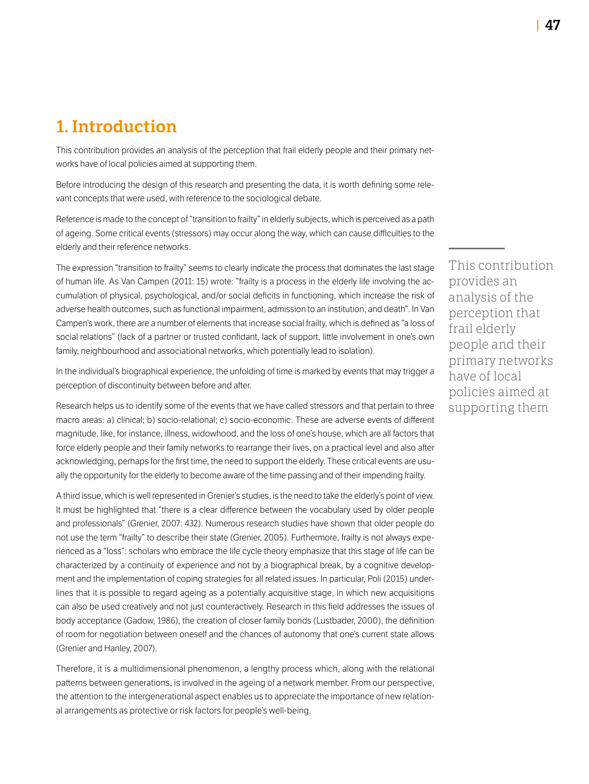# 1. Introduction

This contribution provides an analysis of the perception that frail elderly people and their primary networks have of local policies aimed at supporting them.

Before introducing the design of this research and presenting the data, it is worth defining some relevant concepts that were used, with reference to the sociological debate.

Reference is made to the concept of "transition to frailty" in elderly subjects, which is perceived as a path of ageing. Some critical events (stressors) may occur along the way, which can cause difficulties to the elderly and their reference networks.

The expression "transition to frailty" seems to clearly indicate the process that dominates the last stage of human life. As Van Campen (2011: 15) wrote: "frailty is a process in the elderly life involving the accumulation of physical, psychological, and/or social deficits in functioning, which increase the risk of adverse health outcomes, such as functional impairment, admission to an institution, and death". In Van Campen's work, there are a number of elements that increase social frailty, which is defined as "a loss of social relations" (lack of a partner or trusted confidant, lack of support, little involvement in one's own family, neighbourhood and associational networks, which potentially lead to isolation).

In the individual's biographical experience, the unfolding of time is marked by events that may trigger a perception of discontinuity between before and after.

Research helps us to identify some of the events that we have called stressors and that pertain to three macro areas: a) clinical; b) socio-relational; c) socio-economic. These are adverse events of different magnitude, like, for instance, illness, widowhood, and the loss of one's house, which are all factors that force elderly people and their family networks to rearrange their lives, on a practical level and also after acknowledging, perhaps for the first time, the need to support the elderly. These critical events are usually the opportunity for the elderly to become aware of the time passing and of their impending frailty.

A third issue, which is well represented in Grenier's studies, is the need to take the elderly's point of view. It must be highlighted that "there is a clear difference between the vocabulary used by older people and professionals" (Grenier, 2007: 432). Numerous research studies have shown that older people do not use the term "frailty" to describe their state (Grenier, 2005). Furthermore, frailty is not always experienced as a "loss": scholars who embrace the life cycle theory emphasize that this stage of life can be characterized by a continuity of experience and not by a biographical break, by a cognitive development and the implementation of coping strategies for all related issues. In particular, Poli (2015) underlines that it is possible to regard ageing as a potentially acquisitive stage, in which new acquisitions can also be used creatively and not just counteractively. Research in this field addresses the issues of body acceptance (Gadow, 1986), the creation of closer family bonds (Lustbader, 2000), the definition of room for negotiation between oneself and the chances of autonomy that one's current state allows (Grenier and Hanley, 2007).

Therefore, it is a multidimensional phenomenon, a lengthy process which, along with the relational patterns between generations, is involved in the ageing of a network member. From our perspective, the attention to the intergenerational aspect enables us to appreciate the importance of new relational arrangements as protective or risk factors for people's well-being.

This contribution provides an analysis of the perception that frail elderly people and their primary networks have of local policies aimed at supporting them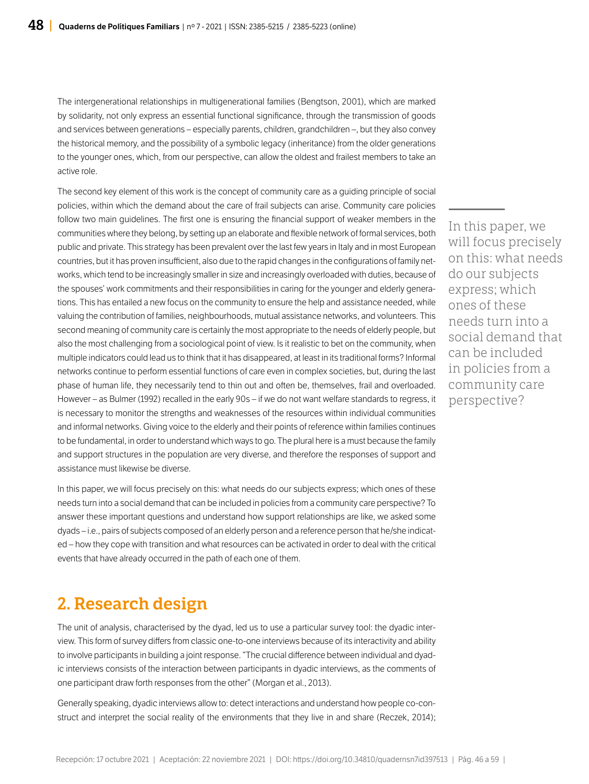The intergenerational relationships in multigenerational families (Bengtson, 2001), which are marked by solidarity, not only express an essential functional significance, through the transmission of goods and services between generations – especially parents, children, grandchildren –, but they also convey the historical memory, and the possibility of a symbolic legacy (inheritance) from the older generations to the younger ones, which, from our perspective, can allow the oldest and frailest members to take an active role.

The second key element of this work is the concept of community care as a guiding principle of social policies, within which the demand about the care of frail subjects can arise. Community care policies follow two main guidelines. The first one is ensuring the financial support of weaker members in the communities where they belong, by setting up an elaborate and flexible network of formal services, both public and private. This strategy has been prevalent over the last few years in Italy and in most European countries, but it has proven insufficient, also due to the rapid changes in the configurations of family networks, which tend to be increasingly smaller in size and increasingly overloaded with duties, because of the spouses' work commitments and their responsibilities in caring for the younger and elderly generations. This has entailed a new focus on the community to ensure the help and assistance needed, while valuing the contribution of families, neighbourhoods, mutual assistance networks, and volunteers. This second meaning of community care is certainly the most appropriate to the needs of elderly people, but also the most challenging from a sociological point of view. Is it realistic to bet on the community, when multiple indicators could lead us to think that it has disappeared, at least in its traditional forms? Informal networks continue to perform essential functions of care even in complex societies, but, during the last phase of human life, they necessarily tend to thin out and often be, themselves, frail and overloaded. However – as Bulmer (1992) recalled in the early 90s – if we do not want welfare standards to regress, it is necessary to monitor the strengths and weaknesses of the resources within individual communities and informal networks. Giving voice to the elderly and their points of reference within families continues to be fundamental, in order to understand which ways to go. The plural here is a must because the family and support structures in the population are very diverse, and therefore the responses of support and assistance must likewise be diverse.

In this paper, we will focus precisely on this: what needs do our subjects express; which ones of these needs turn into a social demand that can be included in policies from a community care perspective? To answer these important questions and understand how support relationships are like, we asked some dyads – i.e., pairs of subjects composed of an elderly person and a reference person that he/she indicated – how they cope with transition and what resources can be activated in order to deal with the critical events that have already occurred in the path of each one of them.

# 2. Research design

The unit of analysis, characterised by the dyad, led us to use a particular survey tool: the dyadic interview. This form of survey differs from classic one-to-one interviews because of its interactivity and ability to involve participants in building a joint response. "The crucial difference between individual and dyadic interviews consists of the interaction between participants in dyadic interviews, as the comments of one participant draw forth responses from the other" (Morgan et al., 2013).

Generally speaking, dyadic interviews allow to: detect interactions and understand how people co-construct and interpret the social reality of the environments that they live in and share (Reczek, 2014); In this paper, we will focus precisely on this: what needs do our subjects express; which ones of these needs turn into a social demand that can be included in policies from a community care perspective?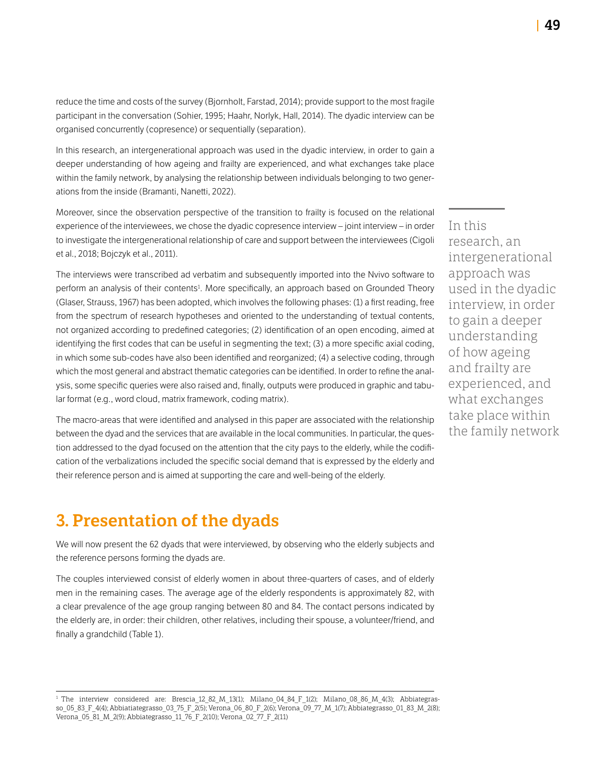reduce the time and costs of the survey (Bjornholt, Farstad, 2014); provide support to the most fragile participant in the conversation (Sohier, 1995; Haahr, Norlyk, Hall, 2014). The dyadic interview can be organised concurrently (copresence) or sequentially (separation).

In this research, an intergenerational approach was used in the dyadic interview, in order to gain a deeper understanding of how ageing and frailty are experienced, and what exchanges take place within the family network, by analysing the relationship between individuals belonging to two generations from the inside (Bramanti, Nanetti, 2022).

Moreover, since the observation perspective of the transition to frailty is focused on the relational experience of the interviewees, we chose the dyadic copresence interview – joint interview – in order to investigate the intergenerational relationship of care and support between the interviewees (Cigoli et al., 2018; Bojczyk et al., 2011).

The interviews were transcribed ad verbatim and subsequently imported into the Nvivo software to perform an analysis of their contents<sup>1</sup>. More specifically, an approach based on Grounded Theory (Glaser, Strauss, 1967) has been adopted, which involves the following phases: (1) a first reading, free from the spectrum of research hypotheses and oriented to the understanding of textual contents, not organized according to predefined categories; (2) identification of an open encoding, aimed at identifying the first codes that can be useful in segmenting the text; (3) a more specific axial coding, in which some sub-codes have also been identified and reorganized; (4) a selective coding, through which the most general and abstract thematic categories can be identified. In order to refine the analysis, some specific queries were also raised and, finally, outputs were produced in graphic and tabular format (e.g., word cloud, matrix framework, coding matrix).

The macro-areas that were identified and analysed in this paper are associated with the relationship between the dyad and the services that are available in the local communities. In particular, the question addressed to the dyad focused on the attention that the city pays to the elderly, while the codification of the verbalizations included the specific social demand that is expressed by the elderly and their reference person and is aimed at supporting the care and well-being of the elderly.

### 3. Presentation of the dyads

We will now present the 62 dyads that were interviewed, by observing who the elderly subjects and the reference persons forming the dyads are.

The couples interviewed consist of elderly women in about three-quarters of cases, and of elderly men in the remaining cases. The average age of the elderly respondents is approximately 82, with a clear prevalence of the age group ranging between 80 and 84. The contact persons indicated by the elderly are, in order: their children, other relatives, including their spouse, a volunteer/friend, and finally a grandchild (Table 1).

In this research, an intergenerational approach was used in the dyadic interview, in order to gain a deeper understanding of how ageing and frailty are experienced, and what exchanges take place within the family network

<sup>&</sup>lt;sup>1</sup> The interview considered are: Brescia\_12\_82\_M\_13(1); Milano\_04\_84\_F\_1(2); Milano\_08\_86\_M\_4(3); Abbiategrasso 05\_83\_F\_4(4); Abbiatiategrasso\_03\_75\_F\_2(5); Verona\_06\_80\_F\_2(6); Verona\_09\_77\_M\_1(7); Abbiategrasso\_01\_83\_M\_2(8); Verona\_05\_81\_M\_2(9); Abbiategrasso\_11\_76\_F\_2(10); Verona\_02\_77\_F\_2(11)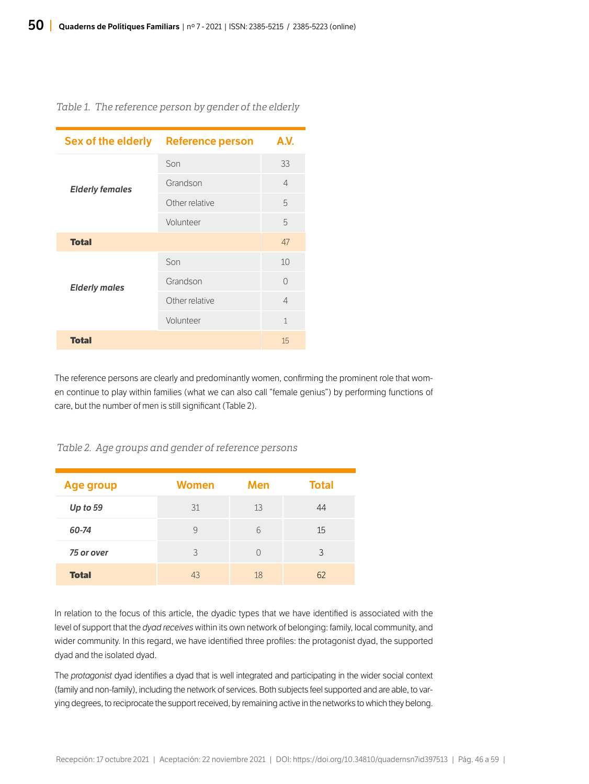#### *Table 1. The reference person by gender of the elderly*

| Sex of the elderly     | <b>Reference person</b> | A.V.           |
|------------------------|-------------------------|----------------|
| <b>Elderly females</b> | Son                     | 33             |
|                        | Grandson                | $\overline{4}$ |
|                        | Other relative          | 5              |
|                        | Volunteer               | 5              |
| <b>Total</b>           |                         | 47             |
| <b>Elderly males</b>   | Son                     | 10             |
|                        | Grandson                | $\bigcap$      |
|                        | Other relative          | 4              |
|                        | Volunteer               | $\mathbf{1}$   |
| <b>Total</b>           |                         | 15             |

The reference persons are clearly and predominantly women, confirming the prominent role that women continue to play within families (what we can also call "female genius") by performing functions of care, but the number of men is still significant (Table 2).

#### *Table 2. Age groups and gender of reference persons*

| Age group    | <b>Women</b> | Men | <b>Total</b> |
|--------------|--------------|-----|--------------|
| Up to $59$   | 31           | 13  | 44           |
| 60-74        | 9            | 6   | 15           |
| 75 or over   | 3            | ∩   | 3            |
| <b>Total</b> | 43           | 18  | 62           |

In relation to the focus of this article, the dyadic types that we have identified is associated with the level of support that the *dyad receives* within its own network of belonging: family, local community, and wider community. In this regard, we have identified three profiles: the protagonist dyad, the supported dyad and the isolated dyad.

The *protagonist* dyad identifies a dyad that is well integrated and participating in the wider social context (family and non-family), including the network of services. Both subjects feel supported and are able, to varying degrees, to reciprocate the support received, by remaining active in the networks to which they belong.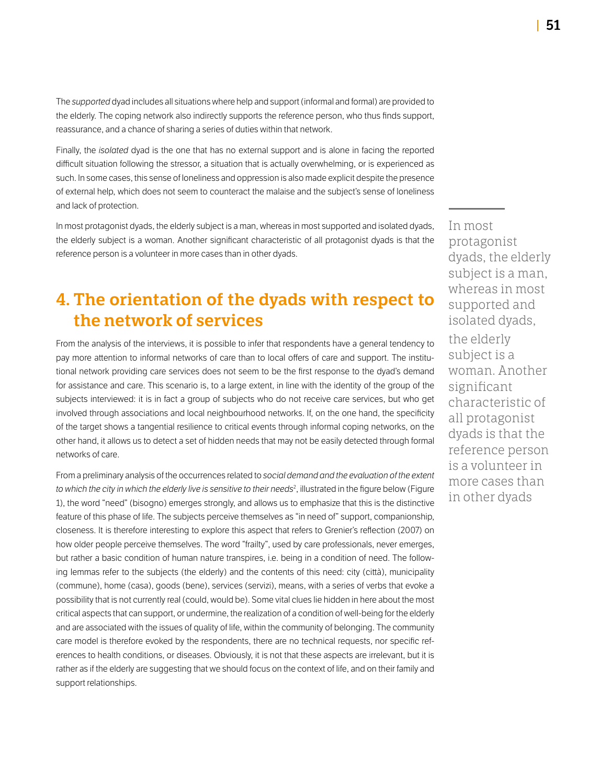The *supported* dyad includes all situations where help and support (informal and formal) are provided to the elderly. The coping network also indirectly supports the reference person, who thus finds support, reassurance, and a chance of sharing a series of duties within that network.

Finally, the *isolated* dyad is the one that has no external support and is alone in facing the reported difficult situation following the stressor, a situation that is actually overwhelming, or is experienced as such. In some cases, this sense of loneliness and oppression is also made explicit despite the presence of external help, which does not seem to counteract the malaise and the subject's sense of loneliness and lack of protection.

In most protagonist dyads, the elderly subject is a man, whereas in most supported and isolated dyads, the elderly subject is a woman. Another significant characteristic of all protagonist dyads is that the reference person is a volunteer in more cases than in other dyads.

# 4. The orientation of the dyads with respect to the network of services

From the analysis of the interviews, it is possible to infer that respondents have a general tendency to pay more attention to informal networks of care than to local offers of care and support. The institutional network providing care services does not seem to be the first response to the dyad's demand for assistance and care. This scenario is, to a large extent, in line with the identity of the group of the subjects interviewed: it is in fact a group of subjects who do not receive care services, but who get involved through associations and local neighbourhood networks. If, on the one hand, the specificity of the target shows a tangential resilience to critical events through informal coping networks, on the other hand, it allows us to detect a set of hidden needs that may not be easily detected through formal networks of care.

From a preliminary analysis of the occurrences related to *social demand and the evaluation of the extent to which the city in which the elderly live is sensitive to their needs*<sup>2</sup> , illustrated in the figure below (Figure 1), the word "need" (bisogno) emerges strongly, and allows us to emphasize that this is the distinctive feature of this phase of life. The subjects perceive themselves as "in need of" support, companionship, closeness. It is therefore interesting to explore this aspect that refers to Grenier's reflection (2007) on how older people perceive themselves. The word "frailty", used by care professionals, never emerges, but rather a basic condition of human nature transpires, i.e. being in a condition of need. The following lemmas refer to the subjects (the elderly) and the contents of this need: city (città), municipality (commune), home (casa), goods (bene), services (servizi), means, with a series of verbs that evoke a possibility that is not currently real (could, would be). Some vital clues lie hidden in here about the most critical aspects that can support, or undermine, the realization of a condition of well-being for the elderly and are associated with the issues of quality of life, within the community of belonging. The community care model is therefore evoked by the respondents, there are no technical requests, nor specific references to health conditions, or diseases. Obviously, it is not that these aspects are irrelevant, but it is rather as if the elderly are suggesting that we should focus on the context of life, and on their family and support relationships.

In most protagonist dyads, the elderly subject is a man, whereas in most supported and isolated dyads, the elderly subject is a woman. Another significant characteristic of all protagonist dyads is that the reference person is a volunteer in more cases than in other dyads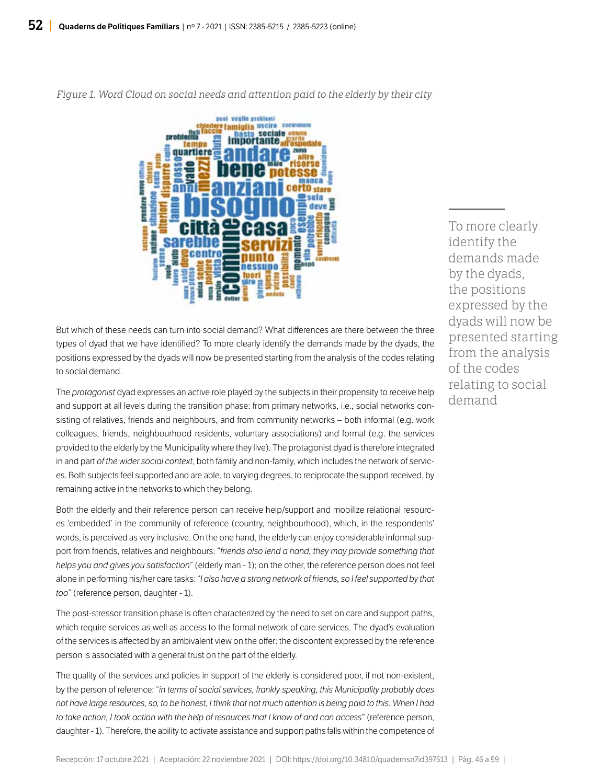

*Figure 1. Word Cloud on social needs and attention paid to the elderly by their city*

But which of these needs can turn into social demand? What differences are there between the three types of dyad that we have identified? To more clearly identify the demands made by the dyads, the positions expressed by the dyads will now be presented starting from the analysis of the codes relating to social demand.

The *protagonist* dyad expresses an active role played by the subjects in their propensity to receive help and support at all levels during the transition phase: from primary networks, i.e., social networks consisting of relatives, friends and neighbours, and from community networks – both informal (e.g. work colleagues, friends, neighbourhood residents, voluntary associations) and formal (e.g. the services provided to the elderly by the Municipality where they live). The protagonist dyad is therefore integrated in and part *of the wider social context*, both family and non-family, which includes the network of services. Both subjects feel supported and are able, to varying degrees, to reciprocate the support received, by remaining active in the networks to which they belong.

Both the elderly and their reference person can receive help/support and mobilize relational resources 'embedded' in the community of reference (country, neighbourhood), which, in the respondents' words, is perceived as very inclusive. On the one hand, the elderly can enjoy considerable informal support from friends, relatives and neighbours: "*friends also lend a hand, they may provide something that helps you and gives you satisfaction*" (elderly man - 1); on the other, the reference person does not feel alone in performing his/her care tasks: "*I also have a strong network of friends, so I feel supported by that too*" (reference person, daughter - 1).

The post-stressor transition phase is often characterized by the need to set on care and support paths, which require services as well as access to the formal network of care services. The dyad's evaluation of the services is affected by an ambivalent view on the offer: the discontent expressed by the reference person is associated with a general trust on the part of the elderly.

The quality of the services and policies in support of the elderly is considered poor, if not non-existent, by the person of reference: "*in terms of social services, frankly speaking, this Municipality probably does not have large resources, so, to be honest, I think that not much attention is being paid to this. When I had to take action, I took action with the help of resources that I know of and can access*" (reference person, daughter - 1). Therefore, the ability to activate assistance and support paths falls within the competence of To more clearly identify the demands made by the dyads, the positions expressed by the dyads will now be presented starting from the analysis of the codes relating to social demand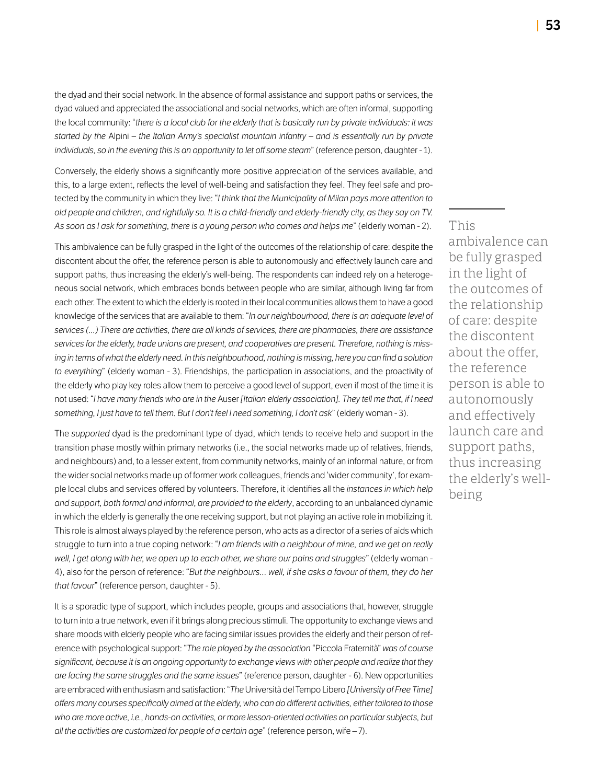the dyad and their social network. In the absence of formal assistance and support paths or services, the dyad valued and appreciated the associational and social networks, which are often informal, supporting the local community: "*there is a local club for the elderly that is basically run by private individuals: it was started by the* Alpini *– the Italian Army's specialist mountain infantry – and is essentially run by private individuals, so in the evening this is an opportunity to let off some steam*" (reference person, daughter - 1).

Conversely, the elderly shows a significantly more positive appreciation of the services available, and this, to a large extent, reflects the level of well-being and satisfaction they feel. They feel safe and protected by the community in which they live: "*I think that the Municipality of Milan pays more attention to old people and children, and rightfully so. It is a child-friendly and elderly-friendly city, as they say on TV. As soon as I ask for something, there is a young person who comes and helps me*" (elderly woman - 2).

This ambivalence can be fully grasped in the light of the outcomes of the relationship of care: despite the discontent about the offer, the reference person is able to autonomously and effectively launch care and support paths, thus increasing the elderly's well-being. The respondents can indeed rely on a heterogeneous social network, which embraces bonds between people who are similar, although living far from each other. The extent to which the elderly is rooted in their local communities allows them to have a good knowledge of the services that are available to them: "*In our neighbourhood, there is an adequate level of services (...) There are activities, there are all kinds of services, there are pharmacies, there are assistance services for the elderly, trade unions are present, and cooperatives are present. Therefore, nothing is missing in terms of what the elderly need. In this neighbourhood, nothing is missing, here you can find a solution to everything*" (elderly woman - 3). Friendships, the participation in associations, and the proactivity of the elderly who play key roles allow them to perceive a good level of support, even if most of the time it is not used: "*I have many friends who are in the* Auser *[Italian elderly association]. They tell me that, if I need something, I just have to tell them. But I don't feel I need something, I don't ask*" (elderly woman - 3).

The *supported* dyad is the predominant type of dyad, which tends to receive help and support in the transition phase mostly within primary networks (i.e., the social networks made up of relatives, friends, and neighbours) and, to a lesser extent, from community networks, mainly of an informal nature, or from the wider social networks made up of former work colleagues, friends and 'wider community', for example local clubs and services offered by volunteers. Therefore, it identifies all the *instances in which help and support, both formal and informal, are provided to the elderly*, according to an unbalanced dynamic in which the elderly is generally the one receiving support, but not playing an active role in mobilizing it. This role is almost always played by the reference person, who acts as a director of a series of aids which struggle to turn into a true coping network: "*I am friends with a neighbour of mine, and we get on really well, I get along with her, we open up to each other, we share our pains and struggles*" (elderly woman - 4), also for the person of reference: "*But the neighbours… well, if she asks a favour of them, they do her that favour*" (reference person, daughter - 5).

It is a sporadic type of support, which includes people, groups and associations that, however, struggle to turn into a true network, even if it brings along precious stimuli. The opportunity to exchange views and share moods with elderly people who are facing similar issues provides the elderly and their person of reference with psychological support: "*The role played by the association* "Piccola Fraternità" *was of course significant, because it is an ongoing opportunity to exchange views with other people and realize that they are facing the same struggles and the same issues*" (reference person, daughter - 6). New opportunities are embraced with enthusiasm and satisfaction: "*The* Università del Tempo Libero *[University of Free Time] offers many courses specifically aimed at the elderly, who can do different activities, either tailored to those*  who are more active, i.e., hands-on activities, or more lesson-oriented activities on particular subjects, but *all the activities are customized for people of a certain age*" (reference person, wife – 7).

This ambivalence can be fully grasped in the light of the outcomes of the relationship of care: despite the discontent about the offer, the reference person is able to autonomously and effectively launch care and support paths, thus increasing the elderly's wellbeing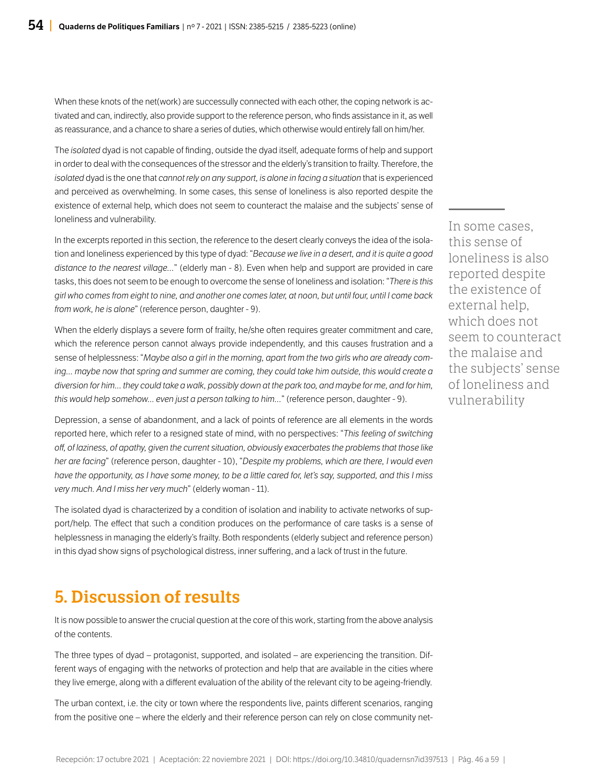When these knots of the net(work) are successully connected with each other, the coping network is activated and can, indirectly, also provide support to the reference person, who finds assistance in it, as well as reassurance, and a chance to share a series of duties, which otherwise would entirely fall on him/her.

The *isolated* dyad is not capable of finding, outside the dyad itself, adequate forms of help and support in order to deal with the consequences of the stressor and the elderly's transition to frailty. Therefore, the *isolated* dyad is the one that *cannot rely on any support, is alone in facing a situation* that is experienced and perceived as overwhelming. In some cases, this sense of loneliness is also reported despite the existence of external help, which does not seem to counteract the malaise and the subjects' sense of loneliness and vulnerability.

In the excerpts reported in this section, the reference to the desert clearly conveys the idea of the isolation and loneliness experienced by this type of dyad: "*Because we live in a desert, and it is quite a good distance to the nearest village…*" (elderly man - 8). Even when help and support are provided in care tasks, this does not seem to be enough to overcome the sense of loneliness and isolation: "*There is this girl who comes from eight to nine, and another one comes later, at noon, but until four, until I come back from work, he is alone*" (reference person, daughter - 9).

When the elderly displays a severe form of frailty, he/she often requires greater commitment and care, which the reference person cannot always provide independently, and this causes frustration and a sense of helplessness: "*Maybe also a girl in the morning, apart from the two girls who are already coming... maybe now that spring and summer are coming, they could take him outside, this would create a diversion for him... they could take a walk, possibly down at the park too, and maybe for me, and for him, this would help somehow... even just a person talking to him…*" (reference person, daughter - 9).

Depression, a sense of abandonment, and a lack of points of reference are all elements in the words reported here, which refer to a resigned state of mind, with no perspectives: "*This feeling of switching off, of laziness, of apathy, given the current situation, obviously exacerbates the problems that those like her are facing*" (reference person, daughter - 10), "*Despite my problems, which are there, I would even have the opportunity, as I have some money, to be a little cared for, let's say, supported, and this I miss very much. And I miss her very much*" (elderly woman - 11).

The isolated dyad is characterized by a condition of isolation and inability to activate networks of support/help. The effect that such a condition produces on the performance of care tasks is a sense of helplessness in managing the elderly's frailty. Both respondents (elderly subject and reference person) in this dyad show signs of psychological distress, inner suffering, and a lack of trust in the future.

# 5. Discussion of results

It is now possible to answer the crucial question at the core of this work, starting from the above analysis of the contents.

The three types of dyad – protagonist, supported, and isolated – are experiencing the transition. Different ways of engaging with the networks of protection and help that are available in the cities where they live emerge, along with a different evaluation of the ability of the relevant city to be ageing-friendly.

The urban context, i.e. the city or town where the respondents live, paints different scenarios, ranging from the positive one – where the elderly and their reference person can rely on close community net-

In some cases, this sense of loneliness is also reported despite the existence of external help, which does not seem to counteract the malaise and the subjects' sense of loneliness and vulnerability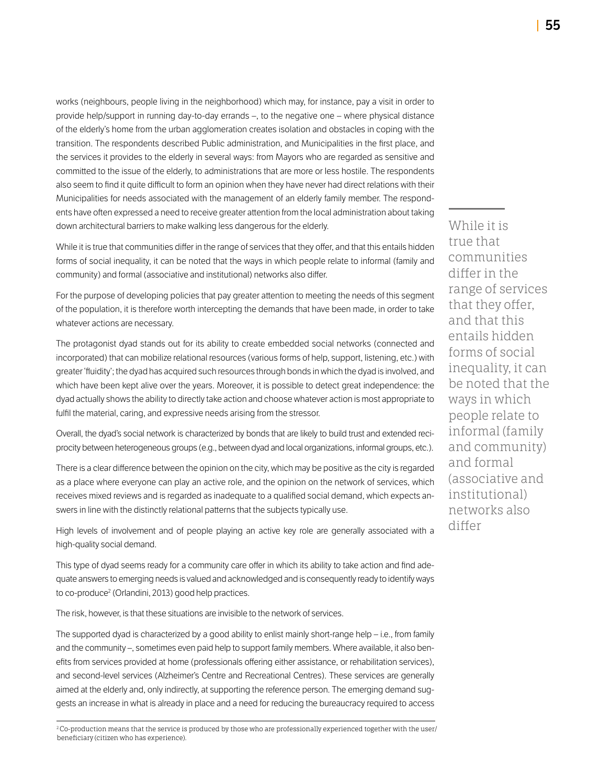works (neighbours, people living in the neighborhood) which may, for instance, pay a visit in order to provide help/support in running day-to-day errands –, to the negative one – where physical distance of the elderly's home from the urban agglomeration creates isolation and obstacles in coping with the transition. The respondents described Public administration, and Municipalities in the first place, and the services it provides to the elderly in several ways: from Mayors who are regarded as sensitive and committed to the issue of the elderly, to administrations that are more or less hostile. The respondents also seem to find it quite difficult to form an opinion when they have never had direct relations with their Municipalities for needs associated with the management of an elderly family member. The respondents have often expressed a need to receive greater attention from the local administration about taking down architectural barriers to make walking less dangerous for the elderly.

While it is true that communities differ in the range of services that they offer, and that this entails hidden forms of social inequality, it can be noted that the ways in which people relate to informal (family and community) and formal (associative and institutional) networks also differ.

For the purpose of developing policies that pay greater attention to meeting the needs of this segment of the population, it is therefore worth intercepting the demands that have been made, in order to take whatever actions are necessary.

The protagonist dyad stands out for its ability to create embedded social networks (connected and incorporated) that can mobilize relational resources (various forms of help, support, listening, etc.) with greater 'fluidity'; the dyad has acquired such resources through bonds in which the dyad is involved, and which have been kept alive over the years. Moreover, it is possible to detect great independence: the dyad actually shows the ability to directly take action and choose whatever action is most appropriate to fulfil the material, caring, and expressive needs arising from the stressor.

Overall, the dyad's social network is characterized by bonds that are likely to build trust and extended reciprocity between heterogeneous groups (e.g., between dyad and local organizations, informal groups, etc.).

There is a clear difference between the opinion on the city, which may be positive as the city is regarded as a place where everyone can play an active role, and the opinion on the network of services, which receives mixed reviews and is regarded as inadequate to a qualified social demand, which expects answers in line with the distinctly relational patterns that the subjects typically use.

High levels of involvement and of people playing an active key role are generally associated with a high-quality social demand.

This type of dyad seems ready for a community care offer in which its ability to take action and find adequate answers to emerging needs is valued and acknowledged and is consequently ready to identify ways to co-produce2 (Orlandini, 2013) good help practices.

The risk, however, is that these situations are invisible to the network of services.

The supported dyad is characterized by a good ability to enlist mainly short-range help – i.e., from family and the community –, sometimes even paid help to support family members. Where available, it also benefits from services provided at home (professionals offering either assistance, or rehabilitation services), and second-level services (Alzheimer's Centre and Recreational Centres). These services are generally aimed at the elderly and, only indirectly, at supporting the reference person. The emerging demand suggests an increase in what is already in place and a need for reducing the bureaucracy required to access

<sup>2</sup> Co-production means that the service is produced by those who are professionally experienced together with the user/ beneficiary (citizen who has experience).

While it is true that communities differ in the range of services that they offer, and that this entails hidden forms of social inequality, it can be noted that the ways in which people relate to informal (family and community) and formal (associative and institutional) networks also differ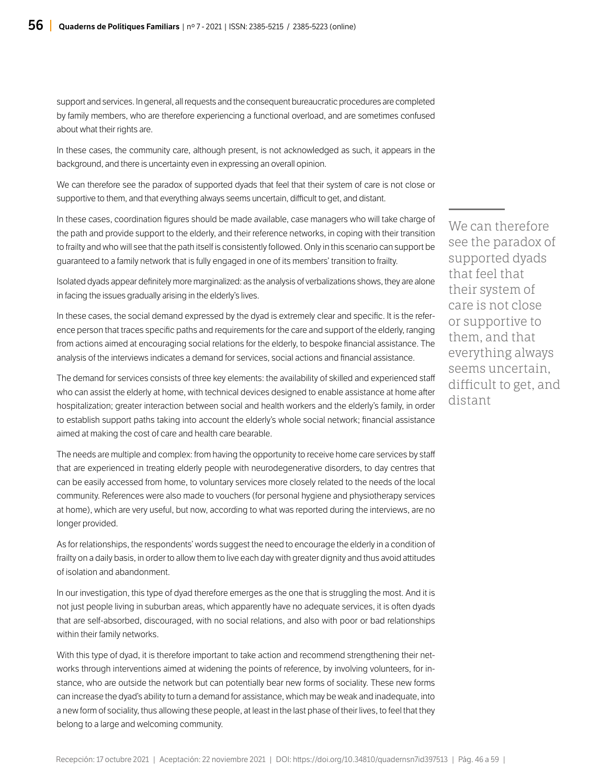support and services. In general, all requests and the consequent bureaucratic procedures are completed by family members, who are therefore experiencing a functional overload, and are sometimes confused about what their rights are.

In these cases, the community care, although present, is not acknowledged as such, it appears in the background, and there is uncertainty even in expressing an overall opinion.

We can therefore see the paradox of supported dyads that feel that their system of care is not close or supportive to them, and that everything always seems uncertain, difficult to get, and distant.

In these cases, coordination figures should be made available, case managers who will take charge of the path and provide support to the elderly, and their reference networks, in coping with their transition to frailty and who will see that the path itself is consistently followed. Only in this scenario can support be guaranteed to a family network that is fully engaged in one of its members' transition to frailty.

Isolated dyads appear definitely more marginalized: as the analysis of verbalizations shows, they are alone in facing the issues gradually arising in the elderly's lives.

In these cases, the social demand expressed by the dyad is extremely clear and specific. It is the reference person that traces specific paths and requirements for the care and support of the elderly, ranging from actions aimed at encouraging social relations for the elderly, to bespoke financial assistance. The analysis of the interviews indicates a demand for services, social actions and financial assistance.

The demand for services consists of three key elements: the availability of skilled and experienced staff who can assist the elderly at home, with technical devices designed to enable assistance at home after hospitalization; greater interaction between social and health workers and the elderly's family, in order to establish support paths taking into account the elderly's whole social network; financial assistance aimed at making the cost of care and health care bearable.

The needs are multiple and complex: from having the opportunity to receive home care services by staff that are experienced in treating elderly people with neurodegenerative disorders, to day centres that can be easily accessed from home, to voluntary services more closely related to the needs of the local community. References were also made to vouchers (for personal hygiene and physiotherapy services at home), which are very useful, but now, according to what was reported during the interviews, are no longer provided.

As for relationships, the respondents' words suggest the need to encourage the elderly in a condition of frailty on a daily basis, in order to allow them to live each day with greater dignity and thus avoid attitudes of isolation and abandonment.

In our investigation, this type of dyad therefore emerges as the one that is struggling the most. And it is not just people living in suburban areas, which apparently have no adequate services, it is often dyads that are self-absorbed, discouraged, with no social relations, and also with poor or bad relationships within their family networks.

With this type of dyad, it is therefore important to take action and recommend strengthening their networks through interventions aimed at widening the points of reference, by involving volunteers, for instance, who are outside the network but can potentially bear new forms of sociality. These new forms can increase the dyad's ability to turn a demand for assistance, which may be weak and inadequate, into a new form of sociality, thus allowing these people, at least in the last phase of their lives, to feel that they belong to a large and welcoming community.

We can therefore see the paradox of supported dyads that feel that their system of care is not close or supportive to them, and that everything always seems uncertain, difficult to get, and distant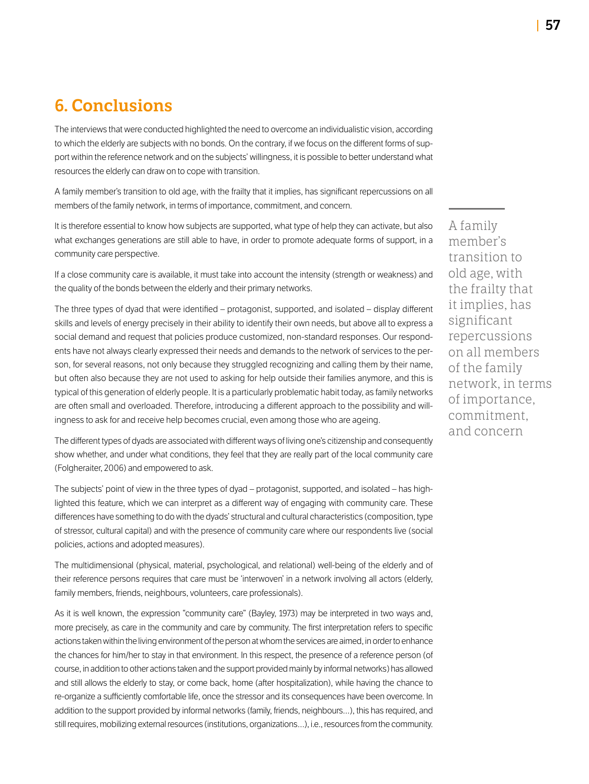# 6. Conclusions

The interviews that were conducted highlighted the need to overcome an individualistic vision, according to which the elderly are subjects with no bonds. On the contrary, if we focus on the different forms of support within the reference network and on the subjects' willingness, it is possible to better understand what resources the elderly can draw on to cope with transition.

A family member's transition to old age, with the frailty that it implies, has significant repercussions on all members of the family network, in terms of importance, commitment, and concern.

It is therefore essential to know how subjects are supported, what type of help they can activate, but also what exchanges generations are still able to have, in order to promote adequate forms of support, in a community care perspective.

If a close community care is available, it must take into account the intensity (strength or weakness) and the quality of the bonds between the elderly and their primary networks.

The three types of dyad that were identified – protagonist, supported, and isolated – display different skills and levels of energy precisely in their ability to identify their own needs, but above all to express a social demand and request that policies produce customized, non-standard responses. Our respondents have not always clearly expressed their needs and demands to the network of services to the person, for several reasons, not only because they struggled recognizing and calling them by their name, but often also because they are not used to asking for help outside their families anymore, and this is typical of this generation of elderly people. It is a particularly problematic habit today, as family networks are often small and overloaded. Therefore, introducing a different approach to the possibility and willingness to ask for and receive help becomes crucial, even among those who are ageing.

The different types of dyads are associated with different ways of living one's citizenship and consequently show whether, and under what conditions, they feel that they are really part of the local community care (Folgheraiter, 2006) and empowered to ask.

The subjects' point of view in the three types of dyad – protagonist, supported, and isolated – has highlighted this feature, which we can interpret as a different way of engaging with community care. These differences have something to do with the dyads' structural and cultural characteristics (composition, type of stressor, cultural capital) and with the presence of community care where our respondents live (social policies, actions and adopted measures).

The multidimensional (physical, material, psychological, and relational) well-being of the elderly and of their reference persons requires that care must be 'interwoven' in a network involving all actors (elderly, family members, friends, neighbours, volunteers, care professionals).

As it is well known, the expression "community care" (Bayley, 1973) may be interpreted in two ways and, more precisely, as care in the community and care by community. The first interpretation refers to specific actions taken within the living environment of the person at whom the services are aimed, in order to enhance the chances for him/her to stay in that environment. In this respect, the presence of a reference person (of course, in addition to other actions taken and the support provided mainly by informal networks) has allowed and still allows the elderly to stay, or come back, home (after hospitalization), while having the chance to re-organize a sufficiently comfortable life, once the stressor and its consequences have been overcome. In addition to the support provided by informal networks (family, friends, neighbours…), this has required, and still requires, mobilizing external resources (institutions, organizations…), i.e., resources from the community. A family member's transition to old age, with the frailty that it implies, has significant repercussions on all members of the family network, in terms of importance, commitment, and concern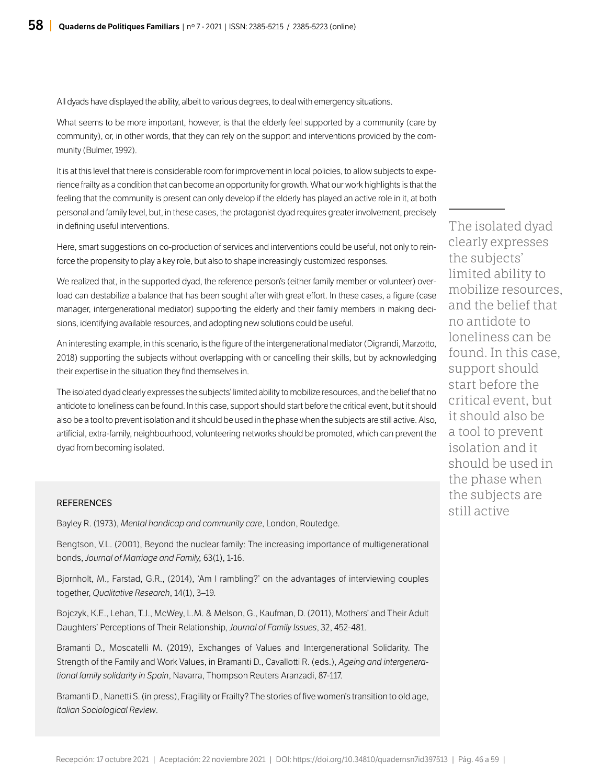All dyads have displayed the ability, albeit to various degrees, to deal with emergency situations.

What seems to be more important, however, is that the elderly feel supported by a community (care by community), or, in other words, that they can rely on the support and interventions provided by the community (Bulmer, 1992).

It is at this level that there is considerable room for improvement in local policies, to allow subjects to experience frailty as a condition that can become an opportunity for growth. What our work highlights is that the feeling that the community is present can only develop if the elderly has played an active role in it, at both personal and family level, but, in these cases, the protagonist dyad requires greater involvement, precisely in defining useful interventions.

Here, smart suggestions on co-production of services and interventions could be useful, not only to reinforce the propensity to play a key role, but also to shape increasingly customized responses.

We realized that, in the supported dyad, the reference person's (either family member or volunteer) overload can destabilize a balance that has been sought after with great effort. In these cases, a figure (case manager, intergenerational mediator) supporting the elderly and their family members in making decisions, identifying available resources, and adopting new solutions could be useful.

An interesting example, in this scenario, is the figure of the intergenerational mediator (Digrandi, Marzotto, 2018) supporting the subjects without overlapping with or cancelling their skills, but by acknowledging their expertise in the situation they find themselves in.

The isolated dyad clearly expresses the subjects' limited ability to mobilize resources, and the belief that no antidote to loneliness can be found. In this case, support should start before the critical event, but it should also be a tool to prevent isolation and it should be used in the phase when the subjects are still active. Also, artificial, extra-family, neighbourhood, volunteering networks should be promoted, which can prevent the dyad from becoming isolated.

#### **REFERENCES**

Bayley R. (1973), *Mental handicap and community care*, London, Routedge.

Bengtson, V.L. (2001), Beyond the nuclear family: The increasing importance of multigenerational bonds, *Journal of Marriage and Family,* 63(1), 1-16.

Bjornholt, M., Farstad, G.R., (2014), 'Am I rambling?' on the advantages of interviewing couples together, *Qualitative Research*, 14(1), 3–19.

Bojczyk, K.E., Lehan, T.J., McWey, L.M. & Melson, G., Kaufman, D. (2011), Mothers' and Their Adult Daughters' Perceptions of Their Relationship, *Journal of Family Issues*, 32, 452-481.

Bramanti D., Moscatelli M. (2019), Exchanges of Values and Intergenerational Solidarity. The Strength of the Family and Work Values, in Bramanti D., Cavallotti R. (eds.), *Ageing and intergenerational family solidarity in Spain*, Navarra, Thompson Reuters Aranzadi, 87-117.

Bramanti D., Nanetti S. (in press), Fragility or Frailty? The stories of five women's transition to old age, *Italian Sociological Review*.

The isolated dyad clearly expresses the subjects' limited ability to mobilize resources, and the belief that no antidote to loneliness can be found. In this case, support should start before the critical event, but it should also be a tool to prevent isolation and it should be used in the phase when the subjects are still active